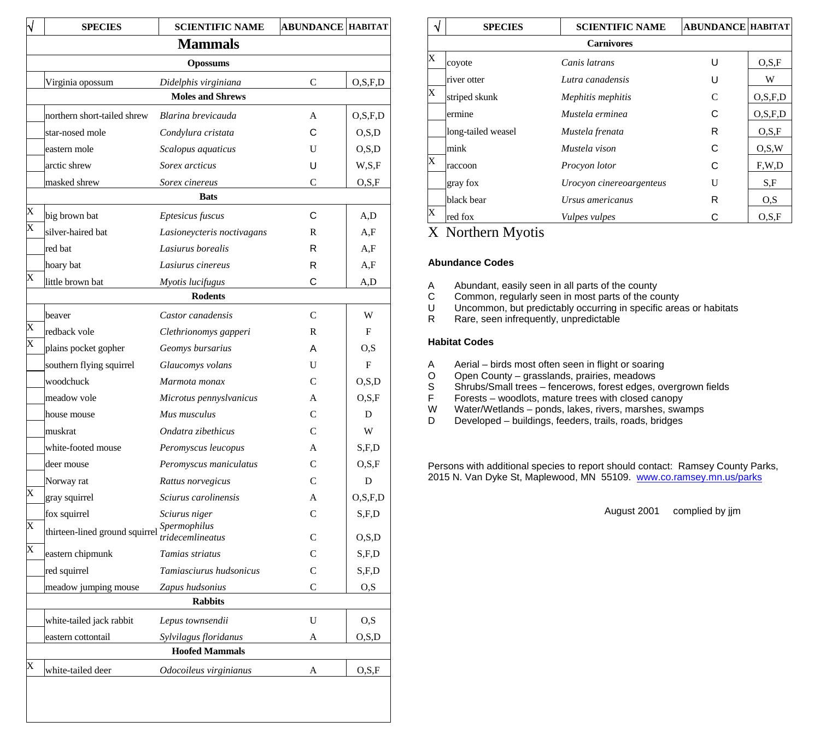|                 | <b>SPECIES</b>                       | <b>SCIENTIFIC NAME</b>            | <b>ABUNDANCE  HABITAT</b> |                  |  |  |
|-----------------|--------------------------------------|-----------------------------------|---------------------------|------------------|--|--|
|                 |                                      | <b>Mammals</b>                    |                           |                  |  |  |
| <b>Opossums</b> |                                      |                                   |                           |                  |  |  |
|                 | Virginia opossum                     | Didelphis virginiana              | C                         | O, S, F, D       |  |  |
|                 |                                      | <b>Moles and Shrews</b>           |                           |                  |  |  |
|                 | northern short-tailed shrew          | Blarina brevicauda                | A                         | O, S, F, D       |  |  |
|                 | star-nosed mole                      | Condylura cristata                | С                         | O, S, D          |  |  |
|                 | eastern mole                         | Scalopus aquaticus                | U                         | O.S.D            |  |  |
|                 | arctic shrew                         | Sorex arcticus                    | U                         | W, S, F          |  |  |
|                 | masked shrew                         | Sorex cinereus                    | C                         | O,S,F            |  |  |
| X               |                                      | <b>Bats</b>                       |                           |                  |  |  |
|                 | big brown bat                        | Eptesicus fuscus                  | C                         | A,D              |  |  |
|                 | silver-haired bat                    | Lasioneycteris noctivagans        | R                         | A,F              |  |  |
|                 | red bat                              | Lasiurus borealis                 | R                         | A,F              |  |  |
|                 | hoary bat                            | Lasiurus cinereus                 | R                         | A,F              |  |  |
|                 | little brown bat                     | Myotis lucifugus                  | С                         | A,D              |  |  |
|                 |                                      | <b>Rodents</b>                    |                           |                  |  |  |
|                 | beaver                               | Castor canadensis                 | C                         | W                |  |  |
|                 | redback vole                         | Clethrionomys gapperi             | R                         | F                |  |  |
|                 | plains pocket gopher                 | Geomys bursarius                  | А                         | O,S              |  |  |
|                 | southern flying squirrel             | Glaucomys volans                  | U                         | F                |  |  |
|                 | woodchuck                            | Marmota monax                     | C                         | O, S, D          |  |  |
|                 | meadow vole                          | Microtus pennyslvanicus           | A                         | O.S.F            |  |  |
|                 | house mouse                          | Mus musculus                      | С                         | D                |  |  |
|                 | muskrat                              | Ondatra zibethicus                | C                         | W                |  |  |
|                 | white-footed mouse                   | Peromyscus leucopus               | A                         | S,F,D            |  |  |
|                 | deer mouse                           | Peromyscus maniculatus            | C                         | O.S.F            |  |  |
|                 | Norway rat                           | Rattus norvegicus                 | C                         | D                |  |  |
|                 | gray squirrel                        | Sciurus carolinensis              | A                         | O.S.F.D          |  |  |
|                 | fox squirrel                         | Sciurus niger                     | C                         | S,F,D            |  |  |
|                 | thirteen-lined ground squirrel       | Spermophilus<br>tridecemlineatus  | C                         | O.S.D            |  |  |
|                 |                                      | Tamias striatus                   | C                         |                  |  |  |
|                 | eastern chipmunk                     | Tamiasciurus hudsonicus           |                           | S, F, D<br>S,F,D |  |  |
|                 | red squirrel<br>meadow jumping mouse |                                   | C<br>$\mathsf{C}$         |                  |  |  |
|                 |                                      | Zapus hudsonius<br><b>Rabbits</b> |                           | O,S              |  |  |
|                 | white-tailed jack rabbit             | Lepus townsendii                  | U                         | O, S             |  |  |
|                 | eastern cottontail                   | Sylvilagus floridanus             | А                         | O, S, D          |  |  |
|                 |                                      | <b>Hoofed Mammals</b>             |                           |                  |  |  |
|                 | white-tailed deer                    | Odocoileus virginianus            | А                         | O.S.F            |  |  |

|   | <b>SPECIES</b>     | <b>SCIENTIFIC NAME</b>   | <b>ABUNDANCE HABITAT</b> |         |
|---|--------------------|--------------------------|--------------------------|---------|
|   |                    | <b>Carnivores</b>        |                          |         |
| X | coyote             | Canis latrans            | U                        | O.S.F   |
|   | river otter        | Lutra canadensis         | U                        | W       |
| X | striped skunk      | Mephitis mephitis        | C                        | O.S.F.D |
|   | ermine             | Mustela erminea          | C                        | O.S.F.D |
|   | long-tailed weasel | Mustela frenata          | R                        | O.S.F   |
|   | mink               | Mustela vison            | C                        | O.S.W   |
| X | raccoon            | Procyon lotor            | C                        | F.W.D   |
|   | gray fox           | Urocyon cinereoargenteus | U                        | S.F     |
|   | black bear         | Ursus americanus         | R                        | O.S     |
| X | red fox            | Vulpes vulpes            | С                        | O.S.F   |

# X Northern Myotis

## **Abundance Codes**

- A Abundant, easily seen in all parts of the county<br>C Common, regularly seen in most parts of the co
- C Common, regularly seen in most parts of the county<br>U Uncommon, but predictably occurring in specific area
- Uncommon, but predictably occurring in specific areas or habitats
- R Rare, seen infrequently, unpredictable

## **Habitat Codes**

- A Aerial birds most often seen in flight or soaring<br>O Open County grasslands, prairies, meadows
- O Open County grasslands, prairies, meadows
- S Shrubs/Small trees fencerows, forest edges, overgrown fields
- F Forests woodlots, mature trees with closed canopy<br>W Water/Wetlands ponds. lakes. rivers. marshes. sware
- W Water/Wetlands ponds, lakes, rivers, marshes, swamps<br>D Developed buildings, feeders, trails, roads, bridges
- Developed buildings, feeders, trails, roads, bridges

Persons with additional species to report should contact: Ramsey County Parks, 2015 N. Van Dyke St, Maplewood, MN 55109. [www.co.ramsey.mn.us/parks](http://www.co.ramsey.mn.us/parks)

August 2001 complied by jjm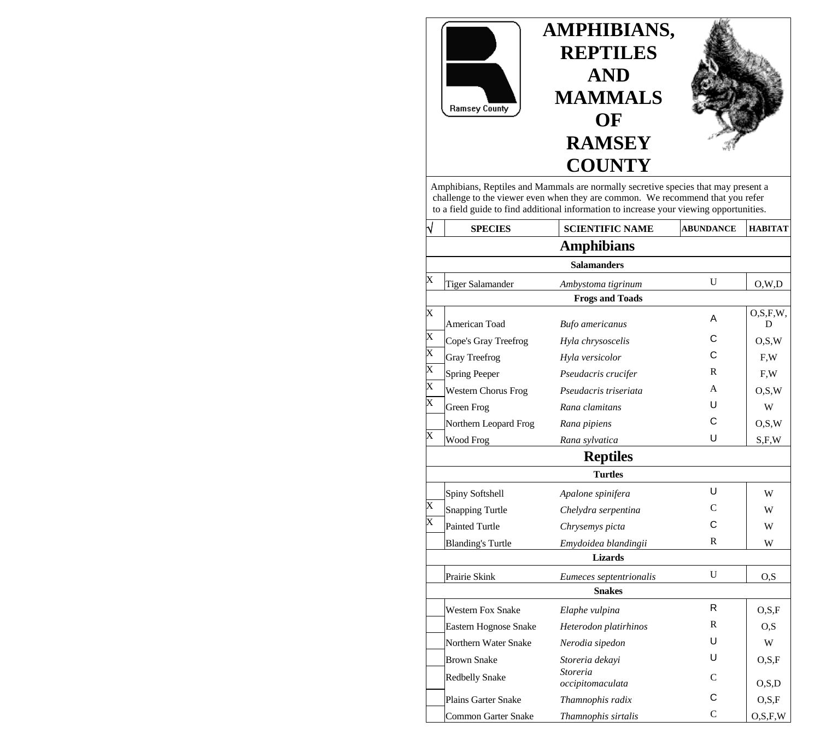

 Amphibians, Reptiles and Mammals are normally secretive species that may present a challenge to the viewer even when they are common. We recommend that you refer to a field guide to find additional information to increase your viewing opportunities.

|                         | <b>SPECIES</b>               | <b>SCIENTIFIC NAME</b>              | <b>ABUNDANCE</b> | <b>HABITAT</b>   |
|-------------------------|------------------------------|-------------------------------------|------------------|------------------|
|                         |                              | <b>Amphibians</b>                   |                  |                  |
|                         |                              | <b>Salamanders</b>                  |                  |                  |
| X                       | Tiger Salamander             | Ambystoma tigrinum                  | U                | O,W,D            |
|                         |                              | <b>Frogs and Toads</b>              |                  |                  |
| X                       | American Toad                | <b>Bufo</b> americanus              | A                | O, S, F, W,<br>D |
| $\overline{\text{X}}$   | Cope's Gray Treefrog         | Hyla chrysoscelis                   | С                | O.S.W            |
| $\overline{\text{X}}$   | <b>Gray Treefrog</b>         | Hyla versicolor                     | С                | F.W              |
| $\overline{\mathbf{x}}$ | <b>Spring Peeper</b>         | Pseudacris crucifer                 | R                | F, W             |
| $\overline{X}$          | <b>Western Chorus Frog</b>   | Pseudacris triseriata               | A                | O.S.W            |
| $\overline{\text{X}}$   | Green Frog                   | Rana clamitans                      | U                | W                |
|                         | Northern Leopard Frog        | Rana pipiens                        | C                | O.S.W            |
| X                       | Wood Frog                    | Rana sylvatica                      | U                | S.F.W            |
|                         |                              | <b>Reptiles</b>                     |                  |                  |
|                         |                              | <b>Turtles</b>                      |                  |                  |
|                         | Spiny Softshell              | Apalone spinifera                   | U                | W                |
| X                       | <b>Snapping Turtle</b>       | Chelydra serpentina                 | C                | W                |
| $\overline{\text{X}}$   | <b>Painted Turtle</b>        | Chrysemys picta                     | С                | W                |
|                         | <b>Blanding's Turtle</b>     | Emydoidea blandingii                | R                | W                |
|                         |                              | <b>Lizards</b>                      |                  |                  |
|                         | Prairie Skink                | Eumeces septentrionalis             | $\mathbf{U}$     | O,S              |
|                         |                              | <b>Snakes</b>                       |                  |                  |
|                         | <b>Western Fox Snake</b>     | Elaphe vulpina                      | R                | O.S.F            |
|                         | <b>Eastern Hognose Snake</b> | Heterodon platirhinos               | R                | O.S              |
|                         | Northern Water Snake         | Nerodia sipedon                     | U                | W                |
|                         | <b>Brown Snake</b>           | Storeria dekayi                     | U                | O.S.F            |
|                         | <b>Redbelly Snake</b>        | <b>Storeria</b><br>occipitomaculata | C                | O.S.D            |
|                         | <b>Plains Garter Snake</b>   | Thamnophis radix                    | С                | O.S.F            |
|                         | Common Garter Snake          | Thamnophis sirtalis                 | $\overline{C}$   | O, S, F, W       |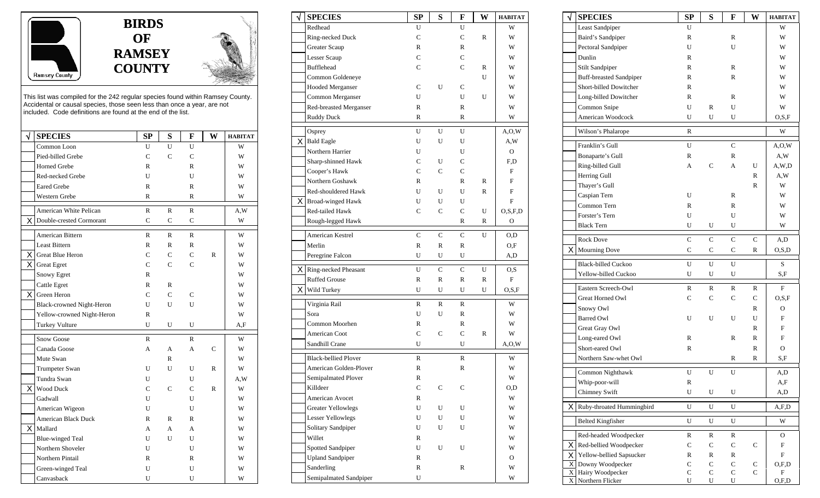



This list was compiled for the 242 regular species found within Ramsey County. Accidental or causal species, those seen less than once a year, are not included. Code definitions are found at the end of the list.

| √<br><b>SPECIES</b>            | SP           | S            | F              | W            | <b>HABITAT</b> |
|--------------------------------|--------------|--------------|----------------|--------------|----------------|
| Common Loon                    | U            | U            | U              |              | W              |
| Pied-billed Grebe              | $\mathsf{C}$ | $\mathsf{C}$ | C              |              | W              |
| Horned Grebe                   | R            |              | R              |              | W              |
| Red-necked Grebe               | U            |              | U              |              | W              |
| <b>Eared Grebe</b>             | R            |              | R              |              | W              |
| <b>Western Grebe</b>           | R            |              | R              |              | W              |
| American White Pelican         | $\mathbb{R}$ | $\mathbb{R}$ | $\mathbb{R}$   |              | A,W            |
| X.<br>Double-crested Cormorant | $\mathsf{C}$ | $\mathsf{C}$ | $\mathsf{C}$   |              | W              |
| American Bittern               | $\mathbb{R}$ | $\mathbb{R}$ | $\mathbb{R}$   |              | W              |
| <b>Least Bittern</b>           | $\mathbb{R}$ | $\mathbb{R}$ | R              |              | W              |
| X.<br>Great Blue Heron         | C            | $\mathsf{C}$ | $\overline{C}$ | $\mathbb{R}$ | W              |
| X.<br><b>Great Egret</b>       | C            | C            | C              |              | W              |
| Snowy Egret                    | R            |              |                |              | W              |
| Cattle Egret                   | $\mathbb{R}$ | $\mathbb{R}$ |                |              | W              |
| ΧI<br>Green Heron              | $\mathsf{C}$ | $\mathbf C$  | $\mathsf{C}$   |              | W              |
| Black-crowned Night-Heron      | U            | U            | U              |              | W              |
| Yellow-crowned Night-Heron     | R            |              |                |              | W              |
| Turkey Vulture                 | U            | U            | U              |              | A,F            |
| Snow Goose                     | R            |              | R              |              | W              |
| Canada Goose                   | A            | A            | A              | C            | W              |
| Mute Swan                      |              | R            |                |              | W              |
| Trumpeter Swan                 | U            | U            | U              | R            | W              |
| Tundra Swan                    | U            |              | U              |              | A, W           |
| X.<br><b>Wood Duck</b>         | $\mathsf{C}$ | $\mathbf C$  | $\mathsf{C}$   | $\mathbb{R}$ | W              |
| Gadwall                        | U            |              | U              |              | W              |
| American Wigeon                | U            |              | U              |              | W              |
| <b>American Black Duck</b>     | R            | R            | R              |              | W              |
| X Mallard                      | A            | A            | A              |              | W              |
| <b>Blue-winged Teal</b>        | U            | U            | U              |              | W              |
| Northern Shoveler              | U            |              | U              |              | W              |
| Northern Pintail               | $\mathbb{R}$ |              | $\mathbb{R}$   |              | W              |
| Green-winged Teal              | U            |              | U              |              | W              |
| Canvasback                     | U            |              | U              |              | W              |

| $\sqrt{}$ | <b>SPECIES</b>              | SP           | S            | F            | W            | <b>HABITAT</b> |
|-----------|-----------------------------|--------------|--------------|--------------|--------------|----------------|
|           | Redhead                     | U            |              | U            |              | W              |
|           | Ring-necked Duck            | $\mathsf{C}$ |              | $\mathsf{C}$ | $\mathbb{R}$ | W              |
|           | Greater Scaup               | R            |              | R            |              | W              |
|           | Lesser Scaup                | $\mathsf{C}$ |              | C            |              | W              |
|           | <b>Bufflehead</b>           | $\mathsf{C}$ |              | C            | R            | W              |
|           | Common Goldeneye            |              |              |              | U            | W              |
|           | Hooded Merganser            | C            | U            | C            |              | W              |
|           | Common Merganser            | U            |              | U            | U            | W              |
|           | Red-breasted Merganser      | R            |              | R            |              | W              |
|           | <b>Ruddy Duck</b>           | R            |              | R            |              | W              |
|           | Osprey                      | U            | U            | U            |              | A, O, W        |
| ΧI        | <b>Bald Eagle</b>           | U            | U            | U            |              | A,W            |
|           | Northern Harrier            | U            |              | U            |              | $\mathcal{O}$  |
|           | Sharp-shinned Hawk          | $\mathsf{C}$ | U            | $\mathsf{C}$ |              | F,D            |
|           | Cooper's Hawk               | C            | C            | $\mathsf{C}$ |              | F              |
|           | Northern Goshawk            |              |              |              |              |                |
|           | Red-shouldered Hawk         | R            |              | R            | $\mathbb{R}$ | F              |
|           |                             | U            | U            | U            | $\mathbb{R}$ | F              |
|           | $X$ Broad-winged Hawk       | U            | U            | U            |              | F              |
|           | Red-tailed Hawk             | C            | $\mathsf{C}$ | $\mathsf{C}$ | U            | O, S, F, D     |
|           | Rough-legged Hawk           |              |              | R            | R            | O              |
|           | American Kestrel            | $\mathsf{C}$ | $\mathsf{C}$ | $\mathsf{C}$ | U            | O,D            |
|           | Merlin                      | R            | R            | R            |              | O,F            |
|           | Peregrine Falcon            | U            | U            | U            |              | A,D            |
| ΧI        | Ring-necked Pheasant        | U            | $\mathbf C$  | $\mathbf C$  | U            | O,S            |
|           | <b>Ruffed Grouse</b>        | R            | R            | R            | R            | F              |
| ΧI        | Wild Turkey                 | U            | U            | U            | U            | O.S.F          |
|           | Virginia Rail               | $\mathbb{R}$ | $\mathbb{R}$ | R            |              | W              |
|           | Sora                        | U            | U            | R            |              | W              |
|           | Common Moorhen              | R            |              | R            |              | W              |
|           | <b>American Coot</b>        | $\mathsf{C}$ | $\mathsf{C}$ | $\mathsf{C}$ | R            | W              |
|           | Sandhill Crane              | U            |              | U            |              | A, O, W        |
|           | <b>Black-bellied Plover</b> | $\mathbb{R}$ |              | $\mathbb{R}$ |              | W              |
|           | American Golden-Plover      | R            |              | R            |              | W              |
|           | Semipalmated Plover         | R            |              |              |              | W              |
|           | Killdeer                    | C            | С            | C            |              | 0,D            |
|           | American Avocet             | R            |              |              |              | W              |
|           | <b>Greater Yellowlegs</b>   | U            | U            | U            |              | W              |
|           | <b>Lesser Yellowlegs</b>    | U            | U            | U            |              | W              |
|           | Solitary Sandpiper          | U            | U            | U            |              | W              |
|           | Willet                      | R            |              |              |              | W              |
|           | Spotted Sandpiper           | U            | U            | U            |              | W              |
|           | <b>Upland Sandpiper</b>     | R            |              |              |              | О              |
|           | Sanderling                  | $\mathbb R$  |              | R            |              | W              |
|           | Semipalmated Sandpiper      | U            |              |              |              | W              |

|    | <b>SPECIES</b>                 | SP           | S            | F            | W | <b>HABITAT</b>            |
|----|--------------------------------|--------------|--------------|--------------|---|---------------------------|
|    | <b>Least Sandpiper</b>         | U            |              |              |   | W                         |
|    | Baird's Sandpiper              | R            |              | R            |   | W                         |
|    | Pectoral Sandpiper             | U            |              | U            |   | W                         |
|    | Dunlin                         | $\mathbb{R}$ |              |              |   | W                         |
|    | Stilt Sandpiper                | $\mathbb{R}$ |              | $\mathbb{R}$ |   | W                         |
|    | <b>Buff-breasted Sandpiper</b> | $\mathbb{R}$ |              | R            |   | W                         |
|    | Short-billed Dowitcher         | $\mathbb{R}$ |              |              |   | W                         |
|    | Long-billed Dowitcher          | $\mathbb{R}$ |              | R            |   | W                         |
|    | Common Snipe                   | U            | R            | U            |   | W                         |
|    | American Woodcock              | U            | U            | U            |   | O.S.F                     |
|    | Wilson's Phalarope             | R            |              |              |   | W                         |
|    | Franklin's Gull                | U            |              | $\mathsf{C}$ |   | A, O, W                   |
|    | Bonaparte's Gull               | R            |              | R            |   | A,W                       |
|    | Ring-billed Gull               | A            | $\mathsf{C}$ | A            | U | A, W, D                   |
|    | Herring Gull                   |              |              |              | R | A,W                       |
|    | Thayer's Gull                  |              |              |              | R | W                         |
|    | Caspian Tern                   | U            |              | R            |   | W                         |
|    | Common Tern                    | R            |              | R            |   | W                         |
|    | Forster's Tern                 | U            |              | U            |   | W                         |
|    | <b>Black Tern</b>              | U            | U            | U            |   | W                         |
|    | <b>Rock Dove</b>               | C            | $\mathsf{C}$ | C            | С | A,D                       |
| X. | Mourning Dove                  | C            | С            | C            | R | O, S, D                   |
|    |                                |              |              |              |   |                           |
|    | <b>Black-billed Cuckoo</b>     | U            | U            | U            |   | S                         |
|    | Yellow-billed Cuckoo           | U            | U            | U            |   | S,F                       |
|    | Eastern Screech-Owl            | R            | R            | R            | R | F                         |
|    | Great Horned Owl               | $\mathbf C$  | C            | $\mathbf C$  | C | O.S.F                     |
|    | Snowy Owl                      |              |              |              | R | О                         |
|    | <b>Barred Owl</b>              | U            | U            | U            | U | F                         |
|    | Great Gray Owl                 |              |              |              | R | F                         |
|    | Long-eared Owl                 | R            |              | R            | R | F                         |
|    | Short-eared Owl                | R            |              |              | R | O                         |
|    | Northern Saw-whet Owl          |              |              | R            | R | S,F                       |
|    | Common Nighthawk               | U            | U            | U            |   | A,D                       |
|    | Whip-poor-will                 | R            |              |              |   | A,F                       |
|    | Chimney Swift                  | U            | U            | U            |   | A,D                       |
| Χ  | Ruby-throated Hummingbird      | U            | U            | U            |   | A, F, D                   |
|    | <b>Belted Kingfisher</b>       | U            | U            | U            |   | W                         |
|    | Red-headed Woodpecker          | ${\bf R}$    | ${\bf R}$    | $\mathbb R$  |   | О                         |
| Х  | Red-bellied Woodpecker         | $\mathbf C$  | $\mathsf{C}$ | $\mathbf C$  | C | F                         |
| Χ  | Yellow-bellied Sapsucker       | R            | R            | R            |   | $\boldsymbol{\mathrm{F}}$ |
| X  | Downy Woodpecker               | $\mathbf C$  | C            | $\mathbf C$  | С | O,F,D                     |
| Х  | Hairy Woodpecker               | C            | C            | C            | C | F                         |
| Χ  | Northern Flicker               | U            | U            | U            |   | O.F.D                     |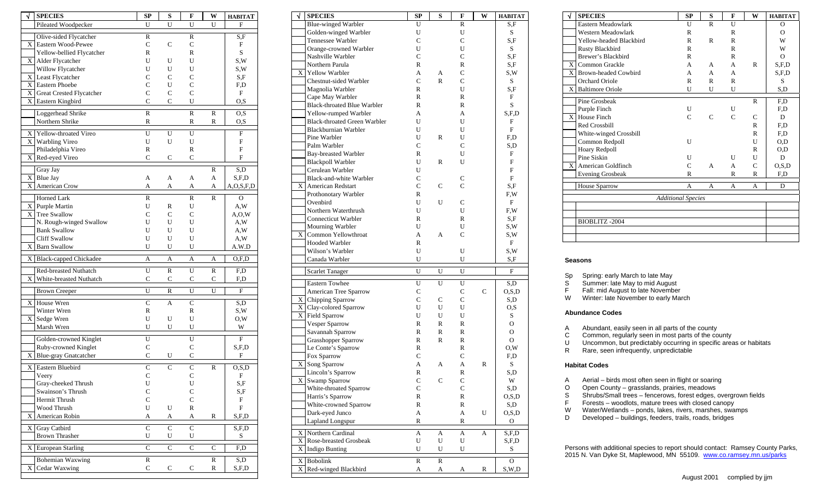| √<br><b>SPECIES</b>                                | SP                          | S              | F                           | W            | <b>HABITAT</b> |
|----------------------------------------------------|-----------------------------|----------------|-----------------------------|--------------|----------------|
| Pileated Woodpecker                                | U                           | U              | U                           | U            | F              |
| Olive-sided Flycatcher                             | R                           |                | R                           |              | S,F            |
| Eastern Wood-Pewee<br>X.                           | C                           | $\mathsf{C}$   | $\mathbf C$                 |              | F              |
| Yellow-bellied Flycatcher                          | R                           |                | R                           |              | S              |
| X  <br>Alder Flycatcher                            | U                           | U              | U                           |              | S,W            |
| Willow Flycatcher                                  | U                           | U              | U                           |              | S,W            |
| X.<br>Least Flycatcher                             | C                           | $\mathsf{C}$   | C                           |              | S,F            |
| X<br>Eastern Phoebe                                | C                           | U              | C                           |              | F,D            |
| X Great Crested Flycatcher                         | C                           | $\mathsf{C}$   | $\mathsf{C}$                |              | F              |
| X   Eastern Kingbird                               | $\mathbf C$                 | $\mathsf{C}$   | U                           |              | O, S           |
| Loggerhead Shrike                                  | R                           |                | R                           | R            | O,S            |
| Northern Shrike                                    | $\mathbb R$                 |                | R                           | R            | O,S            |
| Yellow-throated Vireo<br>$\boldsymbol{\mathrm{X}}$ | U                           | U              | U                           |              | F              |
| X<br>Warbling Vireo                                | U                           | U              | U                           |              | F              |
| Philadelphia Vireo                                 | R                           |                | R                           |              | F              |
| Red-eyed Vireo<br>X.                               | $\mathbf C$                 | $\mathcal{C}$  | $\mathbf C$                 |              | F              |
| Gray Jay                                           |                             |                |                             | R            | S,D            |
| X Blue Jay                                         | A                           | А              | A                           | A            | S, F, D        |
| American Crow<br>X                                 | A                           | А              | A                           | A            | A, O, S, F, D  |
| Horned Lark                                        | R                           |                | R                           | R            | O              |
| X Purple Martin                                    | U                           | R              | U                           |              | A.W            |
| X<br>Tree Swallow                                  | $\overline{C}$              | C              | $\overline{C}$              |              | A, O, W        |
| N. Rough-winged Swallow                            | U                           | U              | U                           |              | A,W            |
| <b>Bank Swallow</b>                                | U                           | U              | U                           |              | A,W            |
| <b>Cliff Swallow</b>                               | U                           | U              | U                           |              | A,W            |
| X.<br><b>Barn Swallow</b>                          | U                           | U              | U                           |              | A.W.D          |
| X Black-capped Chickadee                           | A                           | А              | А                           | A            | O.F.D          |
| Red-breasted Nuthatch                              | U                           | R              | U                           | R            | F,D            |
| X<br>White-breasted Nuthatch                       | $\overline{C}$              | C              | C                           | C            | F,D            |
| <b>Brown Creeper</b>                               | U                           | R              | U                           | U            | F              |
| $\mathbf{X}$<br>House Wren                         | $\overline{C}$              | A              | $\mathbf C$                 |              | S,D            |
| Winter Wren                                        | R                           |                | R                           |              | S,W            |
| Sedge Wren<br>X.                                   | U                           | U              | U                           |              | O,W            |
| Marsh Wren                                         | U                           | U              | U                           |              | W              |
|                                                    |                             |                |                             |              |                |
| Golden-crowned Kinglet                             | U                           |                | U                           |              | F              |
| Ruby-crowned Kinglet<br>X                          | $\mathbf C$<br>$\mathsf{C}$ | U              | $\mathbf C$<br>$\mathsf{C}$ |              | S, F, D<br>F   |
| Blue-gray Gnatcatcher                              |                             |                |                             |              |                |
| X<br>Eastern Bluebird                              | $\overline{C}$              | C              | $\overline{C}$              | R            | O, S, D        |
| Veery                                              | $\mathbf C$                 |                | C                           |              | F              |
| Gray-cheeked Thrush                                | U                           |                | U                           |              | S,F            |
| Swainson's Thrush                                  | C                           |                | $\mathbf C$                 |              | S,F            |
| Hermit Thrush                                      | $\mathsf{C}$<br>U           |                | $\mathbf C$                 |              | F              |
| Wood Thrush<br>American Robin<br>X                 |                             | U              | R                           | R            | F<br>S, F, D   |
|                                                    | A                           | A              | A                           |              |                |
| <b>Gray Catbird</b><br>X.                          | $\overline{C}$              | $\overline{C}$ | $\overline{C}$              |              | S,F,D          |
| Brown Thrasher                                     | U                           | U              | U                           |              | S              |
| <b>European Starling</b><br>X.                     | $\overline{\rm c}$          | $\overline{C}$ | $\overline{C}$              | $\mathsf{C}$ | F,D            |
| <b>Bohemian Waxwing</b>                            | R                           |                |                             | R            | S,D            |
| X<br>Cedar Waxwing                                 | C                           | С              | С                           | R            | S, F, D        |
|                                                    |                             |                |                             |              |                |

| √           | <b>SPECIES</b>                      | <b>SP</b>      | S      | F             | W | <b>HABITAT</b> |
|-------------|-------------------------------------|----------------|--------|---------------|---|----------------|
|             | <b>Blue-winged Warbler</b>          | U              |        | $\mathbb{R}$  |   | S,F            |
|             | Golden-winged Warbler               | U              |        | U             |   | S              |
|             | Tennessee Warbler                   | C              |        | C             |   | S,F            |
|             | Orange-crowned Warbler              | U              |        | U             |   | S              |
|             | Nashville Warbler                   | C              |        | $\mathsf{C}$  |   | S,F            |
|             | Northern Parula                     | R              |        | R             |   | S,F            |
| $\mathbf X$ | <b>Yellow Warbler</b>               | A              | А      | C             |   | S,W            |
|             | Chestnut-sided Warbler              | C              | R      | $\mathsf{C}$  |   | S              |
|             | Magnolia Warbler                    | R              |        | U             |   | S,F            |
|             | Cape May Warbler                    | R              |        | R             |   | F              |
|             | <b>Black-throated Blue Warbler</b>  | R              |        | R             |   | S              |
|             | Yellow-rumped Warbler               | A              |        | А             |   | S.F.D          |
|             | <b>Black-throated Green Warbler</b> | U              |        | U             |   | F              |
|             | Blackburnian Warbler                | U              |        | U             |   | F              |
|             | Pine Warbler                        | U              | R      | U             |   | F,D            |
|             | Palm Warbler                        | C              |        | C             |   | S,D            |
|             | Bay-breasted Warbler                | R              |        | U             |   | F              |
|             | <b>Blackpoll Warbler</b>            | U              | R      | U             |   | F              |
|             | Cerulean Warbler                    | U              |        |               |   | F              |
|             | Black-and-white Warbler             | C              |        | C             |   | F              |
|             |                                     |                |        |               |   |                |
|             | X American Redstart                 | $\mathsf{C}$   | C      | $\mathsf{C}$  |   | S,F            |
|             | Prothonotary Warbler                | R              |        |               |   | F,W            |
|             | Ovenbird                            | U              | U      | $\mathsf{C}$  |   | F              |
|             | Northern Waterthrush                | U              |        | U             |   | F,W            |
|             | Connecticut Warbler                 | R              |        | $\mathbb{R}$  |   | S,F            |
|             | Mourning Warbler                    | U              |        | U             |   | S,W            |
| X           | Common Yellowthroat                 | А              | А      | $\mathsf{C}$  |   | S,W            |
|             | <b>Hooded Warbler</b>               | R              |        |               |   | F              |
|             |                                     |                |        |               |   |                |
|             | Wilson's Warbler                    | U              |        | U             |   | S,W            |
|             | Canada Warbler                      | U              |        | U             |   | S,F            |
|             | <b>Scarlet Tanager</b>              | $\mathbf{U}$   | U      | U             |   | ${\rm F}$      |
|             |                                     |                |        |               |   |                |
|             | Eastern Towhee                      | U              | U      | U             |   | S,D            |
|             | American Tree Sparrow               | C              |        | C             | C | O,S,D          |
|             | X Chipping Sparrow                  | $\overline{C}$ | C      | C             |   | S,D            |
| $\mathbf X$ | Clay-colored Sparrow                | U              | U      | U             |   | O,S            |
|             | X Field Sparrow                     | U              | U      | U             |   | S              |
|             | Vesper Sparrow                      | R              | R      | R             |   | O              |
|             | Savannah Sparrow                    | R              | R      | R             |   | O              |
|             | <b>Grasshopper Sparrow</b>          | R              | R      | R             |   | O              |
|             | Le Conte's Sparrow                  | R              |        | R             |   | O, W           |
|             | Fox Sparrow                         | C              |        | $\mathsf{C}$  |   | F,D            |
| X           | Song Sparrow                        | A              | A      | А             | R | S              |
|             | Lincoln's Sparrow                   | R              |        | $\mathbb{R}$  |   | S,D            |
| X           | Swamp Sparrow                       | C              | C      | C             |   | W              |
|             | White-throated Sparrow              | $\mathsf{C}$   |        | $\mathsf{C}$  |   | S,D            |
|             | Harris's Sparrow                    | R              |        | ${\mathbb R}$ |   | O.S.D          |
|             | White-crowned Sparrow               | R              |        | R             |   | S,D            |
|             | Dark-eyed Junco                     | A              |        | A             | U | O, S, D        |
|             | Lapland Longspur                    | R              |        | R             |   | О              |
|             |                                     |                |        |               |   |                |
| X           | Northern Cardinal                   | A<br>U         | A<br>U | А             | А | S,F,D          |
| X           | Rose-breasted Grosbeak              |                |        | U             |   | S,F,D          |
| $\mathbf X$ | <b>Indigo Bunting</b>               | U              | U      | U             |   | $\mathbf S$    |
| X<br>X      | Bobolink<br>Red-winged Blackbird    | R<br>A         | R<br>A | А             | R | O<br>S, W, D   |

| J | <b>SPECIES</b>            | SP           | S            | F            | W | <b>HABITAT</b> |
|---|---------------------------|--------------|--------------|--------------|---|----------------|
|   | Eastern Meadowlark        | U            | $\mathsf{R}$ | $\mathbf{I}$ |   | $\overline{O}$ |
|   | Western Meadowlark        | R            |              | R            |   | $\Omega$       |
|   | Yellow-headed Blackbird   | R            | R            | R            |   | W              |
|   | <b>Rusty Blackbird</b>    | R            |              | R            |   | W              |
|   | Brewer's Blackbird        | R            |              | R            |   | $\Omega$       |
| X | Common Grackle            | A            | A            | A            | R | S.F.D          |
|   | X Brown-headed Cowbird    | A            | A            | A            |   | S.F.D          |
|   | <b>Orchard Oriole</b>     | R            | R            | R            |   | S              |
|   | X Baltimore Oriole        | U            | U            | U            |   | S,D            |
|   | Pine Grosbeak             |              |              |              | R | F,D            |
|   | Purple Finch              | U            |              | U            |   | F,D            |
| X | House Finch               | $\mathsf{C}$ | C            | $\mathsf{C}$ | C | D              |
|   | Red Crossbill             |              |              |              | R | F,D            |
|   | White-winged Crossbill    |              |              |              | R | F,D            |
|   | Common Redpoll            | U            |              |              | U | O,D            |
|   | Hoary Redpoll             |              |              |              | R | O,D            |
|   | Pine Siskin               | U            |              | U            | U | D              |
| X | American Goldfinch        | $\mathsf{C}$ | A            | $\mathsf{A}$ | C | O.S.D          |
|   | <b>Evening Grosbeak</b>   | R            |              | R            | R | F,D            |
|   | House Sparrow             | A            | A            | A            | A | D              |
|   | <b>Additional Species</b> |              |              |              |   |                |
|   |                           |              |              |              |   |                |
|   |                           |              |              |              |   |                |
|   | BIOBLITZ-2004             |              |              |              |   |                |
|   |                           |              |              |              |   |                |
|   |                           |              |              |              |   |                |

## **Seasons**

Sp Spring: early March to late May<br>S Summer: late May to mid Augus

S Summer: late May to mid August<br>F Fall: mid August to late November

F Fall: mid August to late November<br>W Winter: late November to early Ma

Winter: late November to early March

#### **Abundance Codes**

A Abundant, easily seen in all parts of the county<br>C Common, regularly seen in most parts of the co

C Common, regularly seen in most parts of the county<br>U Uncommon, but predictably occurring in specific area

U Uncommon, but predictably occurring in specific areas or habitats<br>R Rare, seen infrequently, unpredictable

Rare, seen infrequently, unpredictable

#### **Habitat Codes**

- A Aerial birds most often seen in flight or soaring<br>O Open County grasslands, prairies, meadows
- O Open County grasslands, prairies, meadows<br>S Shrubs/Small trees fencerows, forest edges, o
- S Shrubs/Small trees fencerows, forest edges, overgrown fields<br>F Forests woodlots, mature trees with closed canopy
- Forests woodlots, mature trees with closed canopy
- W Water/Wetlands ponds, lakes, rivers, marshes, swamps
- D Developed buildings, feeders, trails, roads, bridges

Persons with additional species to report should contact: Ramsey County Parks, 2015 N. Van Dyke St, Maplewood, MN 55109. [www.co.ramsey.mn.us/parks](http://www.co.ramsey.mn.us/parks)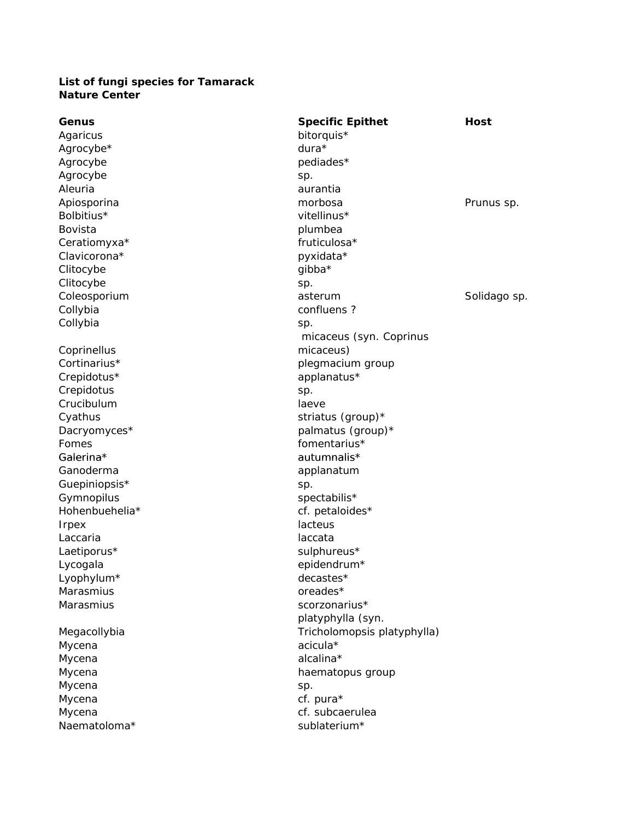## **List of fungi species for Tamarack Nature Center**

| Genus          | <b>Specific Epithet</b>     | <b>Host</b>  |
|----------------|-----------------------------|--------------|
| Agaricus       | bitorquis*                  |              |
| Agrocybe*      | $dura*$                     |              |
| Agrocybe       | pediades*                   |              |
| Agrocybe       | sp.                         |              |
| Aleuria        | aurantia                    |              |
| Apiosporina    | morbosa                     | Prunus sp.   |
| Bolbitius*     | vitellinus*                 |              |
| <b>Bovista</b> | plumbea                     |              |
| Ceratiomyxa*   | fruticulosa*                |              |
| Clavicorona*   | pyxidata*                   |              |
| Clitocybe      | gibba*                      |              |
| Clitocybe      | sp.                         |              |
| Coleosporium   | asterum                     | Solidago sp. |
| Collybia       | confluens?                  |              |
| Collybia       | sp.                         |              |
|                | micaceus (syn. Coprinus     |              |
| Coprinellus    | micaceus)                   |              |
| Cortinarius*   | plegmacium group            |              |
| Crepidotus*    | applanatus*                 |              |
| Crepidotus     | sp.                         |              |
| Crucibulum     | laeve                       |              |
| Cyathus        | striatus (group)*           |              |
| Dacryomyces*   | palmatus (group)*           |              |
| Fomes          | fomentarius*                |              |
| Galerina*      | autumnalis*                 |              |
| Ganoderma      | applanatum                  |              |
| Guepiniopsis*  | sp.                         |              |
| Gymnopilus     | spectabilis*                |              |
| Hohenbuehelia* | cf. petaloides*             |              |
| <b>Irpex</b>   | lacteus                     |              |
| Laccaria       | laccata                     |              |
| Laetiporus*    | sulphureus*                 |              |
| Lycogala       | epidendrum*                 |              |
| Lyophylum*     | decastes*                   |              |
| Marasmius      | oreades*                    |              |
| Marasmius      | scorzonarius*               |              |
|                | platyphylla (syn.           |              |
| Megacollybia   | Tricholomopsis platyphylla) |              |
| Mycena         | acicula*                    |              |
| Mycena         | alcalina*                   |              |
| Mycena         | haematopus group            |              |
| Mycena         | sp.                         |              |
| Mycena         | cf. pura*                   |              |
| Mycena         | cf. subcaerulea             |              |
| Naematoloma*   | sublaterium*                |              |
|                |                             |              |